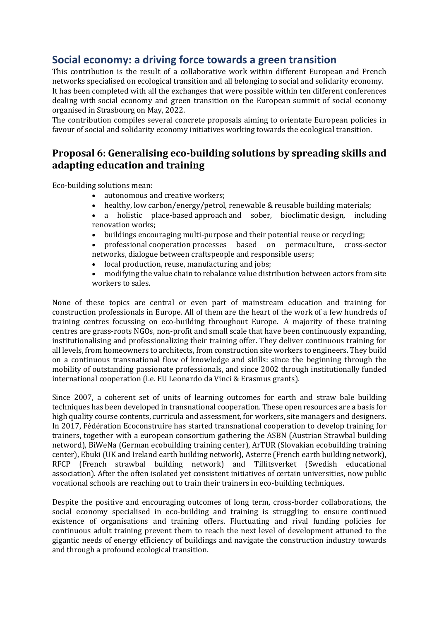## **Social economy: a driving force towards a green transition**

This contribution is the result of a collaborative work within different European and French networks specialised on ecological transition and all belonging to social and solidarity economy. It has been completed with all the exchanges that were possible within ten different conferences dealing with social economy and green transition on the European summit of social economy organised in Strasbourg on May, 2022.

The contribution compiles several concrete proposals aiming to orientate European policies in favour of social and solidarity economy initiatives working towards the ecological transition.

## **Proposal 6: Generalising eco-building solutions by spreading skills and adapting education and training**

Eco-building solutions mean:

- autonomous and creative workers;
- healthy, low carbon/energy/petrol, renewable & reusable building materials;
- a holistic place-based approach and sober, bioclimatic design, including renovation works;
- buildings encouraging multi-purpose and their potential reuse or recycling;
- professional cooperation processes based on permaculture, cross-sector networks, dialogue between craftspeople and responsible users;
- local production, reuse, manufacturing and jobs;
- modifying the value chain to rebalance value distribution between actors from site workers to sales.

None of these topics are central or even part of mainstream education and training for construction professionals in Europe. All of them are the heart of the work of a few hundreds of training centres focussing on eco-building throughout Europe. A majority of these training centres are grass-roots NGOs, non-profit and small scale that have been continuously expanding, institutionalising and professionalizing their training offer. They deliver continuous training for all levels, from homeowners to architects, from construction site workers to engineers. They build on a continuous transnational flow of knowledge and skills: since the beginning through the mobility of outstanding passionate professionals, and since 2002 through institutionally funded international cooperation (i.e. EU Leonardo da Vinci & Erasmus grants).

Since 2007, a coherent set of units of learning outcomes for earth and straw bale building techniques has been developed in transnational cooperation. These open resources are a basis for high quality course contents, curricula and assessment, for workers, site managers and designers. In 2017, Fédération Ecoconstruire has started transnational cooperation to develop training for trainers, together with a european consortium gathering the ASBN (Austrian Strawbal building netword), BiWeNa (German ecobuilding training center), ArTUR (Slovakian ecobuilding training center), Ebuki (UK and Ireland earth building network), Asterre (French earth building network), RFCP (French strawbal building network) and Tillitsverket (Swedish educational association). After the often isolated yet consistent initiatives of certain universities, now public vocational schools are reaching out to train their trainers in eco-building techniques.

Despite the positive and encouraging outcomes of long term, cross-border collaborations, the social economy specialised in eco-building and training is struggling to ensure continued existence of organisations and training offers. Fluctuating and rival funding policies for continuous adult training prevent them to reach the next level of development attuned to the gigantic needs of energy efficiency of buildings and navigate the construction industry towards and through a profound ecological transition.